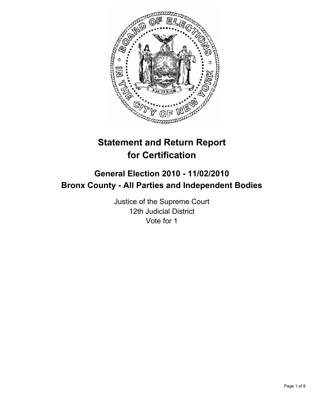

# **Statement and Return Report for Certification**

# **General Election 2010 - 11/02/2010 Bronx County - All Parties and Independent Bodies**

Justice of the Supreme Court 12th Judicial District Vote for 1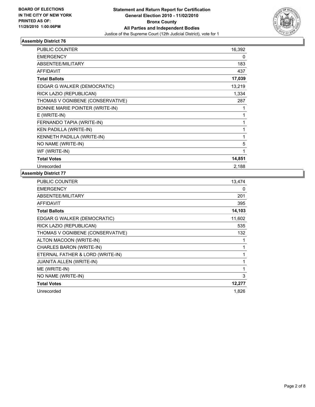

| <b>PUBLIC COUNTER</b>            | 16,392 |
|----------------------------------|--------|
| <b>EMERGENCY</b>                 | 0      |
| ABSENTEE/MILITARY                | 183    |
| <b>AFFIDAVIT</b>                 | 437    |
| <b>Total Ballots</b>             | 17,039 |
| EDGAR G WALKER (DEMOCRATIC)      | 13,219 |
| RICK LAZIO (REPUBLICAN)          | 1,334  |
| THOMAS V OGNIBENE (CONSERVATIVE) | 287    |
| BONNIE MARIE POINTER (WRITE-IN)  | 1      |
| $E$ (WRITE-IN)                   | 1      |
| FERNANDO TAPIA (WRITE-IN)        | 1      |
| <b>KEN PADILLA (WRITE-IN)</b>    | 1      |
| KENNETH PADILLA (WRITE-IN)       | 1      |
| NO NAME (WRITE-IN)               | 5      |
| WF (WRITE-IN)                    | 1      |
| <b>Total Votes</b>               | 14,851 |
| Unrecorded                       | 2,188  |

| <b>PUBLIC COUNTER</b>            | 13,474 |
|----------------------------------|--------|
| <b>EMERGENCY</b>                 | 0      |
| <b>ABSENTEE/MILITARY</b>         | 201    |
| <b>AFFIDAVIT</b>                 | 395    |
| <b>Total Ballots</b>             | 14,103 |
| EDGAR G WALKER (DEMOCRATIC)      | 11,602 |
| RICK LAZIO (REPUBLICAN)          | 535    |
| THOMAS V OGNIBENE (CONSERVATIVE) | 132    |
| ALTON MACOON (WRITE-IN)          |        |
| CHARLES BARON (WRITE-IN)         |        |
| ETERNAL FATHER & LORD (WRITE-IN) | 1      |
| <b>JUANITA ALLEN (WRITE-IN)</b>  | 1      |
| ME (WRITE-IN)                    |        |
| NO NAME (WRITE-IN)               | 3      |
| <b>Total Votes</b>               | 12,277 |
| Unrecorded                       | 1,826  |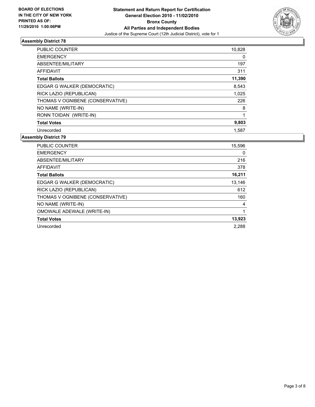

| <b>PUBLIC COUNTER</b>            | 10,828 |
|----------------------------------|--------|
| <b>EMERGENCY</b>                 | 0      |
| ABSENTEE/MILITARY                | 197    |
| <b>AFFIDAVIT</b>                 | 311    |
| <b>Total Ballots</b>             | 11,390 |
| EDGAR G WALKER (DEMOCRATIC)      | 8,543  |
| RICK LAZIO (REPUBLICAN)          | 1,025  |
| THOMAS V OGNIBENE (CONSERVATIVE) | 226    |
| NO NAME (WRITE-IN)               | 8      |
| RONN TOIDAN' (WRITE-IN)          |        |
| <b>Total Votes</b>               | 9,803  |
| Unrecorded                       | 1,587  |

| <b>PUBLIC COUNTER</b>            | 15,596 |
|----------------------------------|--------|
| <b>EMERGENCY</b>                 | 0      |
| ABSENTEE/MILITARY                | 216    |
| <b>AFFIDAVIT</b>                 | 378    |
| <b>Total Ballots</b>             | 16,211 |
| EDGAR G WALKER (DEMOCRATIC)      | 13,146 |
| RICK LAZIO (REPUBLICAN)          | 612    |
| THOMAS V OGNIBENE (CONSERVATIVE) | 160    |
| NO NAME (WRITE-IN)               | 4      |
| OMOWALE ADEWALE (WRITE-IN)       |        |
| <b>Total Votes</b>               | 13,923 |
| Unrecorded                       | 2.288  |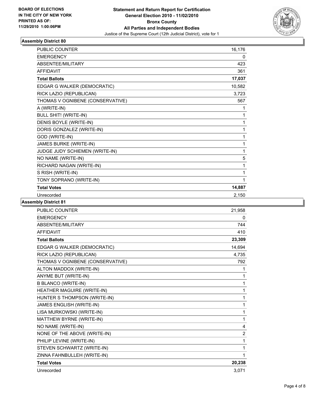

| <b>PUBLIC COUNTER</b>            | 16,176 |
|----------------------------------|--------|
| <b>EMERGENCY</b>                 | 0      |
| ABSENTEE/MILITARY                | 423    |
| <b>AFFIDAVIT</b>                 | 361    |
| <b>Total Ballots</b>             | 17,037 |
| EDGAR G WALKER (DEMOCRATIC)      | 10,582 |
| RICK LAZIO (REPUBLICAN)          | 3,723  |
| THOMAS V OGNIBENE (CONSERVATIVE) | 567    |
| A (WRITE-IN)                     | 1      |
| <b>BULL SHIT! (WRITE-IN)</b>     | 1      |
| DENIS BOYLE (WRITE-IN)           | 1      |
| DORIS GONZALEZ (WRITE-IN)        | 1      |
| GOD (WRITE-IN)                   | 1      |
| <b>JAMES BURKE (WRITE-IN)</b>    | 1      |
| JUDGE JUDY SCHIEMEN (WRITE-IN)   | 1      |
| NO NAME (WRITE-IN)               | 5      |
| RICHARD NAGAN (WRITE-IN)         |        |
| S RISH (WRITE-IN)                | 1      |
| TONY SOPRANO (WRITE-IN)          | 1      |
| <b>Total Votes</b>               | 14,887 |
| Unrecorded                       | 2,150  |

| <b>PUBLIC COUNTER</b>            | 21,958         |
|----------------------------------|----------------|
| <b>EMERGENCY</b>                 | 0              |
| <b>ABSENTEE/MILITARY</b>         | 744            |
| <b>AFFIDAVIT</b>                 | 410            |
| <b>Total Ballots</b>             | 23,309         |
| EDGAR G WALKER (DEMOCRATIC)      | 14,694         |
| RICK LAZIO (REPUBLICAN)          | 4,735          |
| THOMAS V OGNIBENE (CONSERVATIVE) | 792            |
| ALTON MADDOX (WRITE-IN)          | 1              |
| ANYME BUT (WRITE-IN)             | 1              |
| <b>B BLANCO (WRITE-IN)</b>       | 1              |
| HEATHER MAGUIRE (WRITE-IN)       | 1              |
| HUNTER S THOMPSON (WRITE-IN)     | 1              |
| JAMES ENGLISH (WRITE-IN)         | 1              |
| LISA MURKOWSKI (WRITE-IN)        | 1              |
| MATTHEW BYRNE (WRITE-IN)         | 1              |
| NO NAME (WRITE-IN)               | 4              |
| NONE OF THE ABOVE (WRITE-IN)     | $\overline{2}$ |
| PHILIP LEVINE (WRITE-IN)         | 1              |
| STEVEN SCHWARTZ (WRITE-IN)       | 1              |
| ZINNA FAHNBULLEH (WRITE-IN)      | 1              |
| <b>Total Votes</b>               | 20,238         |
| Unrecorded                       | 3,071          |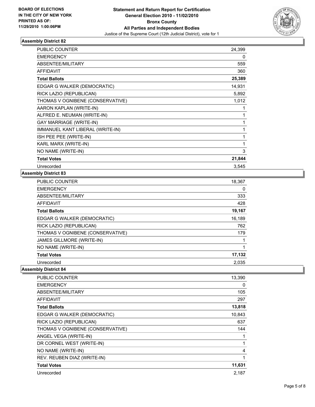

| PUBLIC COUNTER                   | 24,399 |
|----------------------------------|--------|
| <b>EMERGENCY</b>                 | 0      |
| ABSENTEE/MILITARY                | 559    |
| <b>AFFIDAVIT</b>                 | 360    |
| <b>Total Ballots</b>             | 25,389 |
| EDGAR G WALKER (DEMOCRATIC)      | 14,931 |
| RICK LAZIO (REPUBLICAN)          | 5,892  |
| THOMAS V OGNIBENE (CONSERVATIVE) | 1,012  |
| AARON KAPLAN (WRITE-IN)          | 1      |
| ALFRED E. NEUMAN (WRITE-IN)      | 1      |
| <b>GAY MARRIAGE (WRITE-IN)</b>   | 1      |
| IMMANUEL KANT LIBERAL (WRITE-IN) | 1      |
| ISH PEE PEE (WRITE-IN)           | 1      |
| KARL MARX (WRITE-IN)             | 1      |
| NO NAME (WRITE-IN)               | 3      |
| <b>Total Votes</b>               | 21,844 |
| Unrecorded                       | 3.545  |

### **Assembly District 83**

| <b>PUBLIC COUNTER</b>            | 18,367 |
|----------------------------------|--------|
| <b>EMERGENCY</b>                 | 0      |
| ABSENTEE/MILITARY                | 333    |
| <b>AFFIDAVIT</b>                 | 428    |
| <b>Total Ballots</b>             | 19,167 |
| EDGAR G WALKER (DEMOCRATIC)      | 16,189 |
| RICK LAZIO (REPUBLICAN)          | 762    |
| THOMAS V OGNIBENE (CONSERVATIVE) | 179    |
| JAMES GILLMORE (WRITE-IN)        |        |
| NO NAME (WRITE-IN)               |        |
| <b>Total Votes</b>               | 17,132 |
| Unrecorded                       | 2.035  |

| <b>PUBLIC COUNTER</b>            | 13,390 |
|----------------------------------|--------|
| <b>EMERGENCY</b>                 | 0      |
| ABSENTEE/MILITARY                | 105    |
| <b>AFFIDAVIT</b>                 | 297    |
| <b>Total Ballots</b>             | 13,818 |
| EDGAR G WALKER (DEMOCRATIC)      | 10,843 |
| RICK LAZIO (REPUBLICAN)          | 637    |
| THOMAS V OGNIBENE (CONSERVATIVE) | 144    |
| ANGEL VEGA (WRITE-IN)            |        |
| DR CORNEL WEST (WRITE-IN)        | 1      |
| NO NAME (WRITE-IN)               | 4      |
| REV. REUBEN DIAZ (WRITE-IN)      | 1      |
| <b>Total Votes</b>               | 11,631 |
| Unrecorded                       | 2,187  |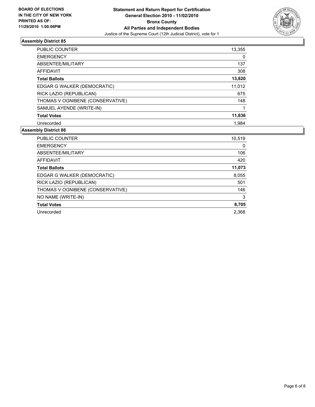

| <b>PUBLIC COUNTER</b>            | 13,355 |
|----------------------------------|--------|
| <b>EMERGENCY</b>                 | 0      |
| ABSENTEE/MILITARY                | 137    |
| AFFIDAVIT                        | 308    |
| <b>Total Ballots</b>             | 13,820 |
| EDGAR G WALKER (DEMOCRATIC)      | 11,012 |
| RICK LAZIO (REPUBLICAN)          | 675    |
| THOMAS V OGNIBENE (CONSERVATIVE) | 148    |
| SAMUEL AYENDE (WRITE-IN)         | 1      |
| <b>Total Votes</b>               | 11,836 |
| Unrecorded                       | 1,984  |

| <b>PUBLIC COUNTER</b>            | 10,519 |
|----------------------------------|--------|
| <b>EMERGENCY</b>                 | 0      |
| ABSENTEE/MILITARY                | 106    |
| AFFIDAVIT                        | 420    |
| <b>Total Ballots</b>             | 11,073 |
| EDGAR G WALKER (DEMOCRATIC)      | 8,055  |
| RICK LAZIO (REPUBLICAN)          | 501    |
| THOMAS V OGNIBENE (CONSERVATIVE) | 146    |
| NO NAME (WRITE-IN)               | 3      |
| <b>Total Votes</b>               | 8,705  |
| Unrecorded                       | 2.368  |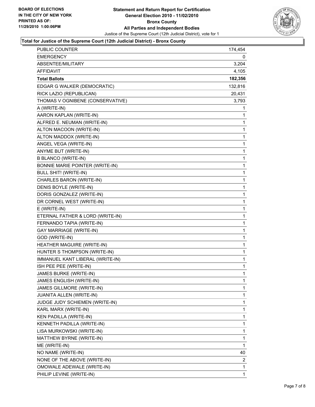

#### **Total for Justice of the Supreme Court (12th Judicial District) - Bronx County**

| PUBLIC COUNTER                         | 174,454      |
|----------------------------------------|--------------|
| <b>EMERGENCY</b>                       | 0            |
| ABSENTEE/MILITARY                      | 3,204        |
| <b>AFFIDAVIT</b>                       | 4,105        |
| <b>Total Ballots</b>                   | 182,356      |
| EDGAR G WALKER (DEMOCRATIC)            | 132,816      |
| RICK LAZIO (REPUBLICAN)                | 20,431       |
| THOMAS V OGNIBENE (CONSERVATIVE)       | 3,793        |
| A (WRITE-IN)                           | 1            |
| AARON KAPLAN (WRITE-IN)                | 1            |
| ALFRED E. NEUMAN (WRITE-IN)            | 1            |
| ALTON MACOON (WRITE-IN)                | 1            |
| ALTON MADDOX (WRITE-IN)                | 1            |
| ANGEL VEGA (WRITE-IN)                  | 1            |
| ANYME BUT (WRITE-IN)                   | $\mathbf 1$  |
| <b>B BLANCO (WRITE-IN)</b>             | 1            |
| <b>BONNIE MARIE POINTER (WRITE-IN)</b> | 1            |
| <b>BULL SHIT! (WRITE-IN)</b>           | 1            |
| CHARLES BARON (WRITE-IN)               | 1            |
| DENIS BOYLE (WRITE-IN)                 | 1            |
| DORIS GONZALEZ (WRITE-IN)              | $\mathbf 1$  |
| DR CORNEL WEST (WRITE-IN)              | 1            |
| E (WRITE-IN)                           | 1            |
| ETERNAL FATHER & LORD (WRITE-IN)       | 1            |
| FERNANDO TAPIA (WRITE-IN)              | 1            |
| <b>GAY MARRIAGE (WRITE-IN)</b>         | 1            |
| GOD (WRITE-IN)                         | $\mathbf 1$  |
| HEATHER MAGUIRE (WRITE-IN)             | 1            |
| HUNTER S THOMPSON (WRITE-IN)           | 1            |
| IMMANUEL KANT LIBERAL (WRITE-IN)       | $\mathbf{1}$ |
| ISH PEE PEE (WRITE-IN)                 | 1            |
| JAMES BURKE (WRITE-IN)                 | 1            |
| JAMES ENGLISH (WRITE-IN)               | 1            |
| JAMES GILLMORE (WRITE-IN)              | 1            |
| JUANITA ALLEN (WRITE-IN)               | 1            |
| JUDGE JUDY SCHIEMEN (WRITE-IN)         | 1            |
| KARL MARX (WRITE-IN)                   | 1            |
| KEN PADILLA (WRITE-IN)                 | 1            |
| KENNETH PADILLA (WRITE-IN)             | 1            |
| LISA MURKOWSKI (WRITE-IN)              | 1            |
| MATTHEW BYRNE (WRITE-IN)               | 1            |
| ME (WRITE-IN)                          | 1            |
| NO NAME (WRITE-IN)                     | 40           |
| NONE OF THE ABOVE (WRITE-IN)           | 2            |
| OMOWALE ADEWALE (WRITE-IN)             | 1            |
| PHILIP LEVINE (WRITE-IN)               | $\mathbf{1}$ |
|                                        |              |